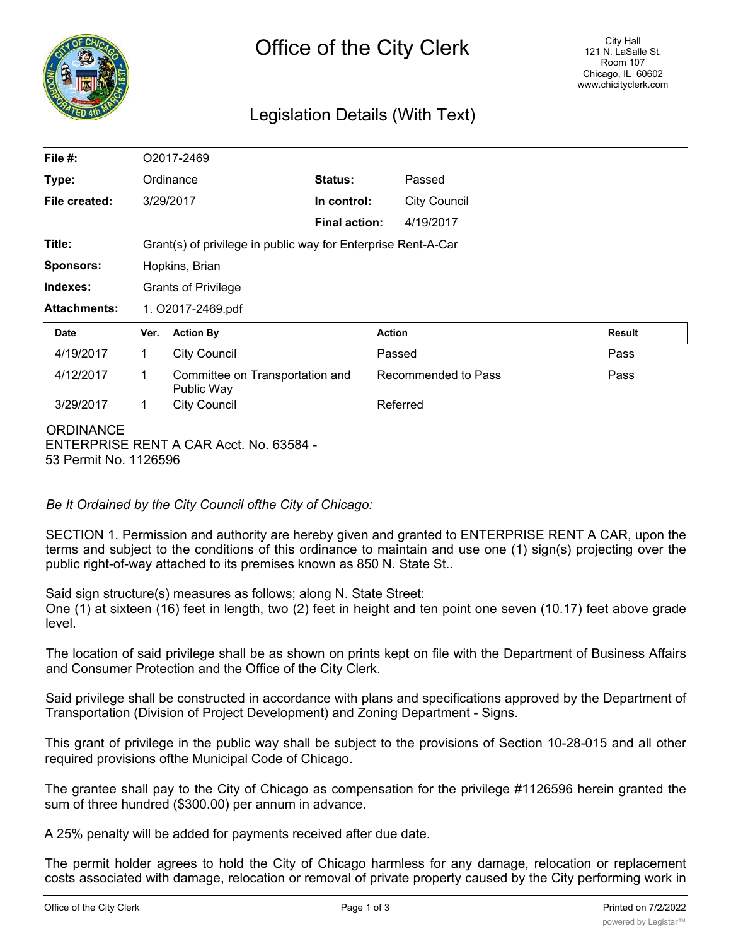

# Legislation Details (With Text)

| File $#$ :          |                                                               | O2017-2469                      |                      |                     |               |
|---------------------|---------------------------------------------------------------|---------------------------------|----------------------|---------------------|---------------|
| Type:               |                                                               | Ordinance                       | <b>Status:</b>       | Passed              |               |
| File created:       |                                                               | 3/29/2017                       | In control:          | <b>City Council</b> |               |
|                     |                                                               |                                 | <b>Final action:</b> | 4/19/2017           |               |
| Title:              | Grant(s) of privilege in public way for Enterprise Rent-A-Car |                                 |                      |                     |               |
| Sponsors:           | Hopkins, Brian                                                |                                 |                      |                     |               |
| Indexes:            | <b>Grants of Privilege</b>                                    |                                 |                      |                     |               |
| <b>Attachments:</b> | 1. O2017-2469.pdf                                             |                                 |                      |                     |               |
| <b>Date</b>         | Ver.                                                          | <b>Action By</b>                | <b>Action</b>        |                     | <b>Result</b> |
| 4/19/2017           | $\mathbf 1$                                                   | <b>City Council</b>             |                      | Passed              | Pass          |
| 4/12/2017           | 1                                                             | Committee on Transportation and |                      | Recommended to Pass | Pass          |
|                     |                                                               | Public Way                      |                      |                     |               |
| 3/29/2017           | 1                                                             | <b>City Council</b>             |                      | Referred            |               |

## *Be It Ordained by the City Council ofthe City of Chicago:*

SECTION 1. Permission and authority are hereby given and granted to ENTERPRISE RENT A CAR, upon the terms and subject to the conditions of this ordinance to maintain and use one (1) sign(s) projecting over the public right-of-way attached to its premises known as 850 N. State St..

Said sign structure(s) measures as follows; along N. State Street:

One (1) at sixteen (16) feet in length, two (2) feet in height and ten point one seven (10.17) feet above grade level.

The location of said privilege shall be as shown on prints kept on file with the Department of Business Affairs and Consumer Protection and the Office of the City Clerk.

Said privilege shall be constructed in accordance with plans and specifications approved by the Department of Transportation (Division of Project Development) and Zoning Department - Signs.

This grant of privilege in the public way shall be subject to the provisions of Section 10-28-015 and all other required provisions ofthe Municipal Code of Chicago.

The grantee shall pay to the City of Chicago as compensation for the privilege #1126596 herein granted the sum of three hundred (\$300.00) per annum in advance.

A 25% penalty will be added for payments received after due date.

The permit holder agrees to hold the City of Chicago harmless for any damage, relocation or replacement costs associated with damage, relocation or removal of private property caused by the City performing work in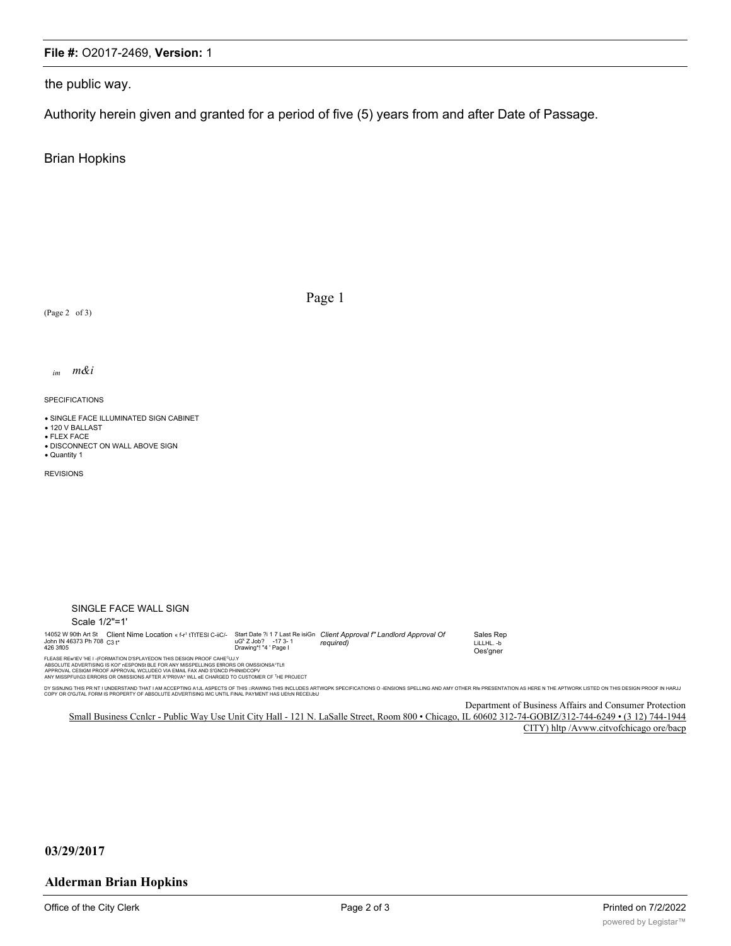#### File #: O2017-2469, Version: 1

the public way.

Authority herein given and granted for a period of five (5) years from and after Date of Passage.

**Brian Hopkins** 

(Page 2 of 3)

Page 1

m&i  $im$ 

**SPECIFICATIONS** 

· SINGLE FACE ILLUMINATED SIGN CABINET

• 120 V BALLAST · FLEX FACE

· DISCONNECT ON WALL ABOVE SIGN

• Quantity 1

**REVISIONS** 

| SINGLE FACE WALL SIGN                                                                                                  |                                                   |                                                                                      |  |  |  |
|------------------------------------------------------------------------------------------------------------------------|---------------------------------------------------|--------------------------------------------------------------------------------------|--|--|--|
| Scale 1/2"=1'                                                                                                          |                                                   |                                                                                      |  |  |  |
| 14052 W 90th Art St Client Nime Location « f-r <sup>1</sup> tTtTESI C-iiC/-<br>John IN 46373 Ph 708 C3 t*<br>426 3fl05 | $uGk Z$ , $Job$ ? -173-1<br>Drawing*! "4 ' Page I | Start Date ?i 1 7 Last Re isiGn Client Approval f" Landlord Approval Of<br>reauired) |  |  |  |
| FLEASE REW EV 'HE I - (FORMATION D'SPLAYEDON THIS DESIGN PROOF CAHE <sup>C</sup> UJ.Y                                  |                                                   |                                                                                      |  |  |  |

Sales Rep LiLLHL.-b Oes'gner

THE REWIEV THE I - (FORMATION D'SPLAYEDON THIS DESIGN PROOF CAHE<sup>C</sup>IJJ.Y<br>ABSOLUTE ADVERTISING IS KOI" nESPONSI BLE FOR ANY MISSPELLINGS EIRORS OR OMSSIONSA'TLII<br>APPROVAL CESIGN PROOF APPROVAL WCLUDEO VA EMAL FAX AND S'SNOD

DY SISNING THIS PR NT I UNDERSTAND THAT I AM ACCEPTING A1JL ASPECTS OF THIS ∷RAWING THIS INCLUDES ARTWOPK SPECIFICATIONS O -IENSIONS SPELLING AND AMY OTHER RI® PRESENTATION AS HERE N THE APTWORK LISTED ON THIS DESIGN PROOF

Department of Business Affairs and Consumer Protection Small Business Cenler - Public Way Use Unit City Hall - 121 N. LaSalle Street, Room 800 · Chicago, IL 60602 312-74-GOBIZ/312-744-6249 · (3 12) 744-1944 CITY) hltp /Avww.citvofchicago ore/bacp

#### 03/29/2017

#### **Alderman Brian Hopkins**